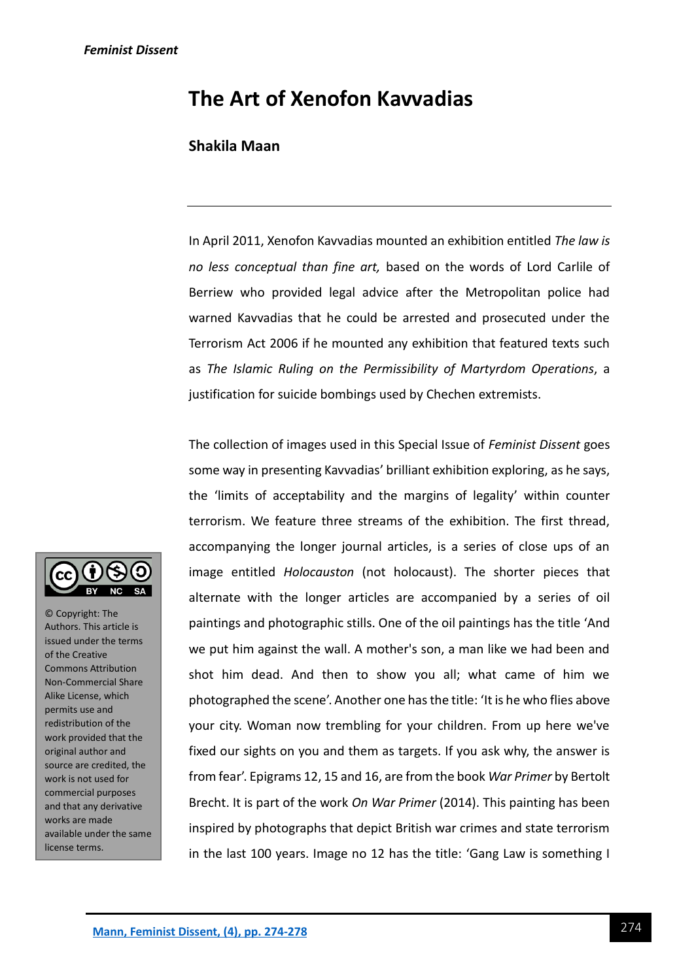# **The Art of Xenofon Kavvadias**

## **Shakila Maan**

In April 2011, Xenofon Kavvadias mounted an exhibition entitled *The law is no less conceptual than fine art,* based on the words of Lord Carlile of Berriew who provided legal advice after the Metropolitan police had warned Kavvadias that he could be arrested and prosecuted under the Terrorism Act 2006 if he mounted any exhibition that featured texts such as *The Islamic Ruling on the Permissibility of Martyrdom Operations*, a justification for suicide bombings used by Chechen extremists.

The collection of images used in this Special Issue of *Feminist Dissent* goes some way in presenting Kavvadias' brilliant exhibition exploring, as he says, the 'limits of acceptability and the margins of legality' within counter terrorism. We feature three streams of the exhibition. The first thread, accompanying the longer journal articles, is a series of close ups of an image entitled *Holocauston* (not holocaust). The shorter pieces that alternate with the longer articles are accompanied by a series of oil paintings and photographic stills. One of the oil paintings has the title 'And we put him against the wall. A mother's son, a man like we had been and shot him dead. And then to show you all; what came of him we photographed the scene'. Another one has the title: 'It is he who flies above your city. Woman now trembling for your children. From up here we've fixed our sights on you and them as targets. If you ask why, the answer is from fear'. Epigrams 12, 15 and 16, are from the book *War Primer* by Bertolt Brecht. It is part of the work *On War Primer* (2014). This painting has been inspired by photographs that depict British war crimes and state terrorism in the last 100 years. Image no 12 has the title: 'Gang Law is something I



© Copyright: The Authors. This article is issued under the terms of the Creative Commons Attribution Non-Commercial Share Alike License, which permits use and redistribution of the work provided that the original author and source are credited, the work is not used for commercial purposes and that any derivative works are made available under the same license terms.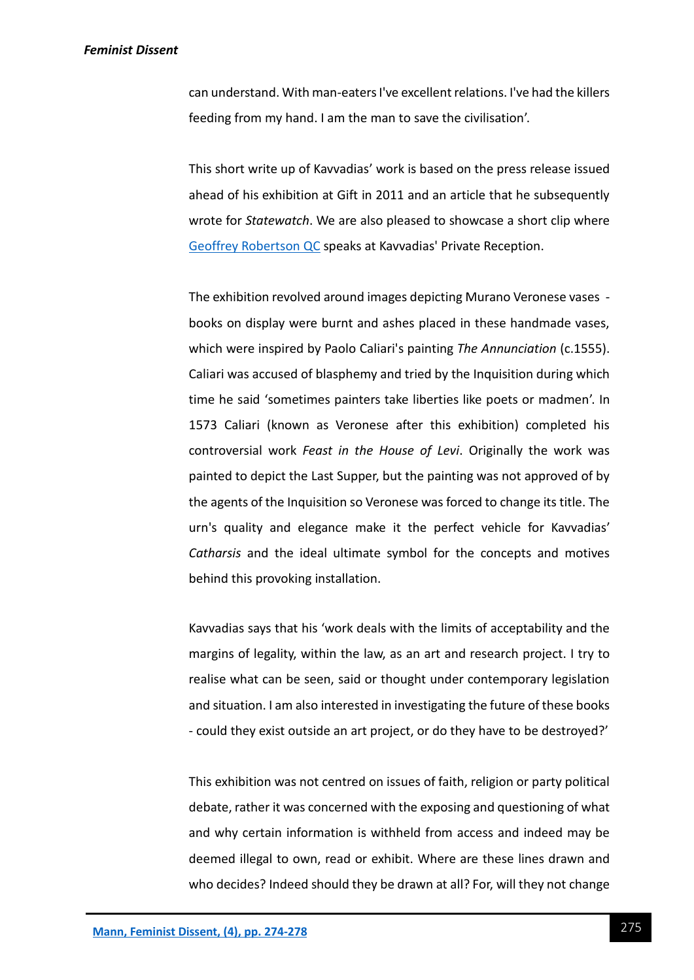#### *Feminist Dissent*

can understand. With man-eaters I've excellent relations. I've had the killers feeding from my hand. I am the man to save the civilisation'.

This short write up of Kavvadias' work is based on the press release issued ahead of his exhibition at Gift in 2011 and an article that he subsequently wrote for *Statewatch*. We are also pleased to showcase a short clip where [Geoffrey Robertson QC](https://www.youtube.com/watch?v=2TCHdFTlcwA&t=267s) speaks at Kavvadias' Private Reception.

The exhibition revolved around images depicting Murano Veronese vases books on display were burnt and ashes placed in these handmade vases, which were inspired by Paolo Caliari's painting *The Annunciation* (c.1555). Caliari was accused of blasphemy and tried by the Inquisition during which time he said 'sometimes painters take liberties like poets or madmen'. In 1573 Caliari (known as Veronese after this exhibition) completed his controversial work *Feast in the House of Levi*. Originally the work was painted to depict the Last Supper, but the painting was not approved of by the agents of the Inquisition so Veronese was forced to change its title. The urn's quality and elegance make it the perfect vehicle for Kavvadias' *Catharsis* and the ideal ultimate symbol for the concepts and motives behind this provoking installation.

Kavvadias says that his 'work deals with the limits of acceptability and the margins of legality, within the law, as an art and research project. I try to realise what can be seen, said or thought under contemporary legislation and situation. I am also interested in investigating the future of these books - could they exist outside an art project, or do they have to be destroyed?'

This exhibition was not centred on issues of faith, religion or party political debate, rather it was concerned with the exposing and questioning of what and why certain information is withheld from access and indeed may be deemed illegal to own, read or exhibit. Where are these lines drawn and who decides? Indeed should they be drawn at all? For, will they not change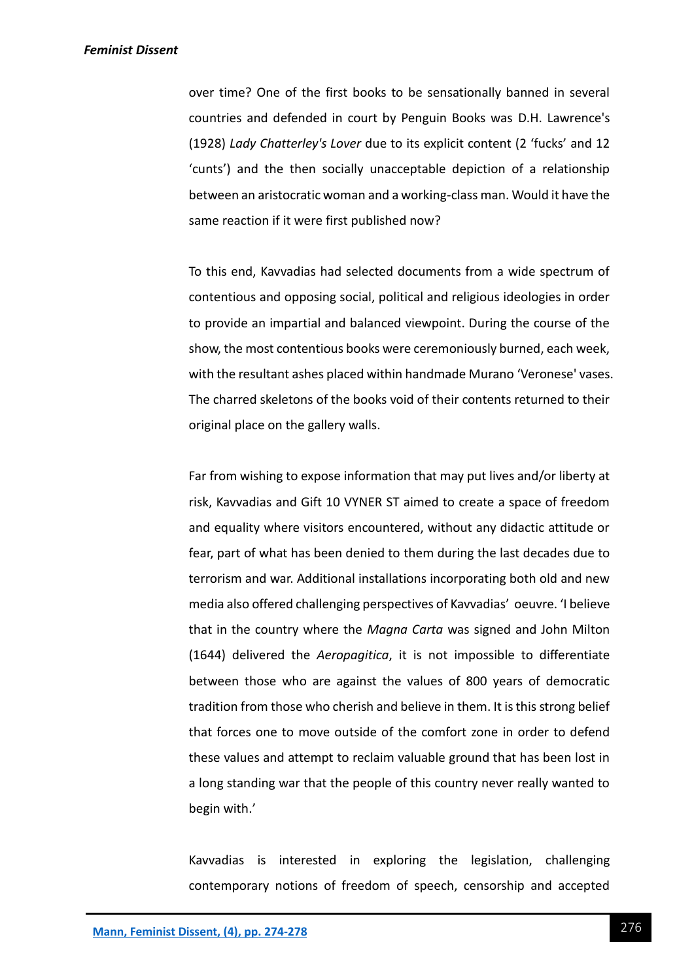#### *Feminist Dissent*

over time? One of the first books to be sensationally banned in several countries and defended in court by Penguin Books was D.H. Lawrence's (1928) *Lady Chatterley's Lover* due to its explicit content (2 'fucks' and 12 'cunts') and the then socially unacceptable depiction of a relationship between an aristocratic woman and a working-class man. Would it have the same reaction if it were first published now?

To this end, Kavvadias had selected documents from a wide spectrum of contentious and opposing social, political and religious ideologies in order to provide an impartial and balanced viewpoint. During the course of the show, the most contentious books were ceremoniously burned, each week, with the resultant ashes placed within handmade Murano 'Veronese' vases. The charred skeletons of the books void of their contents returned to their original place on the gallery walls.

Far from wishing to expose information that may put lives and/or liberty at risk, Kavvadias and Gift 10 VYNER ST aimed to create a space of freedom and equality where visitors encountered, without any didactic attitude or fear, part of what has been denied to them during the last decades due to terrorism and war. Additional installations incorporating both old and new media also offered challenging perspectives of Kavvadias' oeuvre. 'I believe that in the country where the *Magna Carta* was signed and John Milton (1644) delivered the *Aeropagitica*, it is not impossible to differentiate between those who are against the values of 800 years of democratic tradition from those who cherish and believe in them. It is this strong belief that forces one to move outside of the comfort zone in order to defend these values and attempt to reclaim valuable ground that has been lost in a long standing war that the people of this country never really wanted to begin with.'

Kavvadias is interested in exploring the legislation, challenging contemporary notions of freedom of speech, censorship and accepted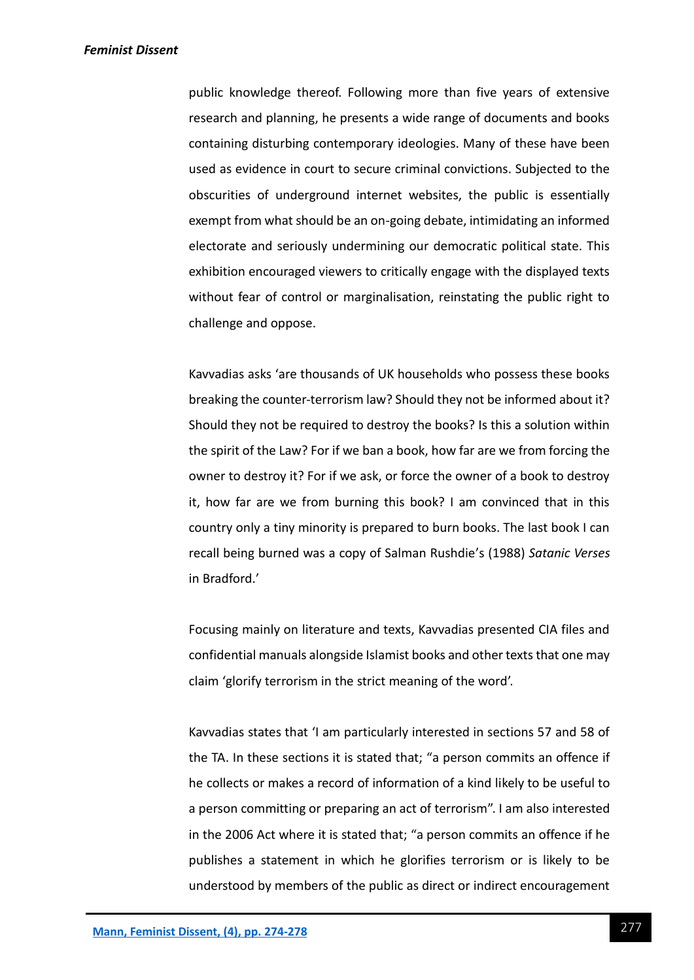public knowledge thereof. Following more than five years of extensive research and planning, he presents a wide range of documents and books containing disturbing contemporary ideologies. Many of these have been used as evidence in court to secure criminal convictions. Subjected to the obscurities of underground internet websites, the public is essentially exempt from what should be an on-going debate, intimidating an informed electorate and seriously undermining our democratic political state. This exhibition encouraged viewers to critically engage with the displayed texts without fear of control or marginalisation, reinstating the public right to challenge and oppose.

Kavvadias asks 'are thousands of UK households who possess these books breaking the counter-terrorism law? Should they not be informed about it? Should they not be required to destroy the books? Is this a solution within the spirit of the Law? For if we ban a book, how far are we from forcing the owner to destroy it? For if we ask, or force the owner of a book to destroy it, how far are we from burning this book? I am convinced that in this country only a tiny minority is prepared to burn books. The last book I can recall being burned was a copy of Salman Rushdie's (1988) *Satanic Verses* in Bradford.'

Focusing mainly on literature and texts, Kavvadias presented CIA files and confidential manuals alongside Islamist books and other texts that one may claim 'glorify terrorism in the strict meaning of the word'.

Kavvadias states that 'I am particularly interested in sections 57 and 58 of the TA. In these sections it is stated that; "a person commits an offence if he collects or makes a record of information of a kind likely to be useful to a person committing or preparing an act of terrorism". I am also interested in the 2006 Act where it is stated that; "a person commits an offence if he publishes a statement in which he glorifies terrorism or is likely to be understood by members of the public as direct or indirect encouragement